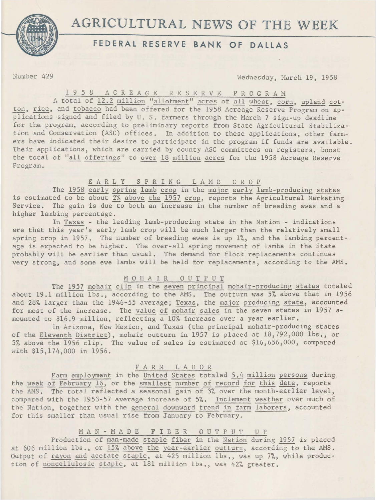

# AGRICULTURAL NEWS OF THE WEEK

## **FEDERAL RESERVE BANK OF DALLAS**

Number 429 Wednesday, March 19, 1958

1 9 5 8 A C R E A G E R E S E R V E P R O G R A M<br>A total of 12.2 million "allotment" acres of all wheat, corn, upland cotton, rice, and tobacco had been offered for the 1958 Acreage Reserve Program on applications signed and filed by U. S. farmers through the March 7 sign-up deadline for the program, according to preliminary reports from State Agricultural Stabilization and Conservation (ASC) offices. In addition to these applications, other farmers have indicated their desire to participate in the program if funds are available. Their applications, which are carried by county ASC committees on registers, boost the total of "all offerings" to over 18 million acres for the 1958 Acreage Reserve Program.

#### EARLY SPRING LAMB CROP

The 1958 early spring lamb crop in the major early lamb-producing states is estimated to be about 2% above the 1957 crop, reports the Agricultural Marketing Service. The gain is due to beth an increase in the number of breeding ewes and a higher lambing percentage.

In Texas - the leading lamb-producing state in the Nation - indications are that this year's early lamb crop will be much larger than the relatively small spring crop in 1957. The number of breeding ewes is up 1%, and the lambing percentage is expected to be higher. The over-all spring movement of lambs in the State probably will be earlier than usual. The demand for flock replacements continues very strong, and some ewe lambs will be held for replacements, according to the AMS.

### M 0 H A I R 0 U T P U T

The 1957 mohair clip in the seven principal mohair-producing states totaled about 19.1 million lbs,, according to the AMS. The outturn was 5% above that in 1956 and 23% larger than the 1946-55 average; Texas, the major producing state, accounted for most of the increase. The value of mohair sales in the seven states in 1957 amounted to \$16.9 million, reflecting a  $10\%$  increase over a year earlier.

In Arizona, New Mexico, and Texas (the principal mohair-producing states of the Eleventh District), mohair outturn in 1957 is placed at 18,792,000 lbs,, or 5% above the 1956 clip. The value of sales is estimated at \$16,656,000, compared with \$15,174,000 in 1956.

#### F A R M L A D 0 R

Farm employment in the United States totaled 5.4 million persons during the week of February 16, or the smallest number of record for this date, reports the AMS. The total reflected a seasonal gain of 3% over the month-earlier level, compared with the 1953-57 average increase of 5%. Inclement weather over much of the Nation, together with the general downward trend in farm laborers, accounted for this smaller than usual rise from January to February.

### MAN - MADE FIBER OUTPUT UP

Production of man-made staple fiber in the Nation during 1957 is placed at 606 million lbs., or 15% above the year-earlier outturn, according to the AMS. Output of rayon and acetate staple, at 425 million lbs., was up 7%, while production of noncellulosic staple, at 181 million lbs., was 42% greater.